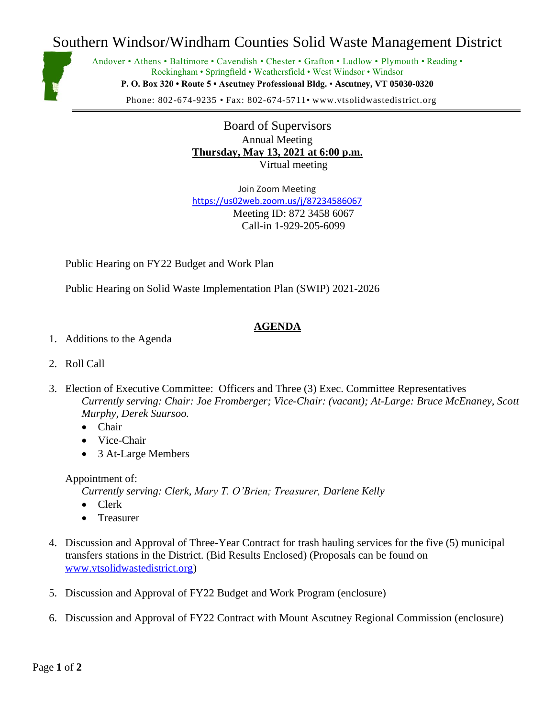## Southern Windsor/Windham Counties Solid Waste Management District



Andover • Athens • Baltimore • Cavendish • Chester • Grafton • Ludlow • Plymouth • Reading • Rockingham • Springfield • Weathersfield • West Windsor • Windsor **P. O. Box 320 • Route 5 • Ascutney Professional Bldg.** • **Ascutney, VT 05030-0320**

Phone: 802-674-9235 • Fax: 802-674-5711• www.vtsolidwastedistrict.org

Board of Supervisors Annual Meeting **Thursday, May 13, 2021 at 6:00 p.m.** Virtual meeting

Join Zoom Meeting <https://us02web.zoom.us/j/87234586067> Meeting ID: 872 3458 6067 Call-in 1-929-205-6099

Public Hearing on FY22 Budget and Work Plan

Public Hearing on Solid Waste Implementation Plan (SWIP) 2021-2026

## **AGENDA**

- 1. Additions to the Agenda
- 2. Roll Call
- 3. Election of Executive Committee: Officers and Three (3) Exec. Committee Representatives *Currently serving: Chair: Joe Fromberger; Vice-Chair: (vacant); At-Large: Bruce McEnaney, Scott Murphy, Derek Suursoo.* 
	- Chair
	- Vice-Chair
	- 3 At-Large Members

## Appointment of:

*Currently serving: Clerk, Mary T. O'Brien; Treasurer, Darlene Kelly*

- Clerk
- Treasurer
- 4. Discussion and Approval of Three-Year Contract for trash hauling services for the five (5) municipal transfers stations in the District. (Bid Results Enclosed) (Proposals can be found on [www.vtsolidwastedistrict.org\)](http://www.vtsolidwastedistrict.org/)
- 5. Discussion and Approval of FY22 Budget and Work Program (enclosure)
- 6. Discussion and Approval of FY22 Contract with Mount Ascutney Regional Commission (enclosure)